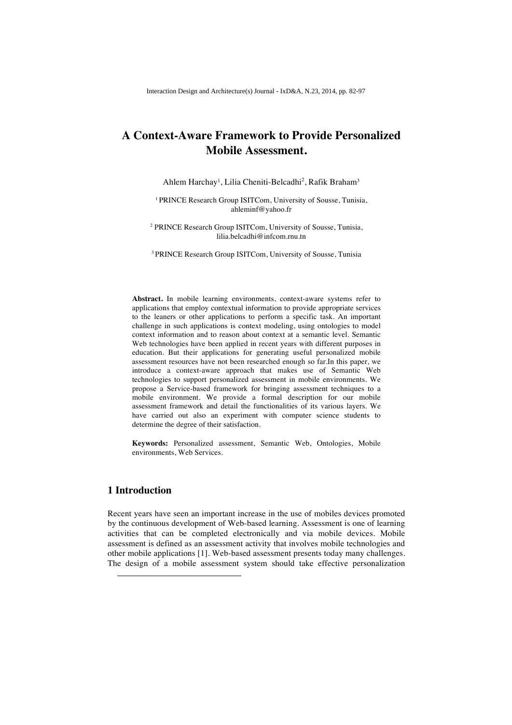# **A Context-Aware Framework to Provide Personalized Mobile Assessment.**

Ahlem Harchay<sup>1</sup>, Lilia Cheniti-Belcadhi<sup>2</sup>, Rafik Braham<sup>3</sup>

<sup>1</sup> PRINCE Research Group ISITCom, University of Sousse, Tunisia, ahleminf@yahoo.fr

<sup>2</sup> PRINCE Research Group ISITCom, University of Sousse, Tunisia, lilia.belcadhi@infcom.rnu.tn

3 PRINCE Research Group ISITCom, University of Sousse, Tunisia

**Abstract.** In mobile learning environments, context-aware systems refer to applications that employ contextual information to provide appropriate services to the leaners or other applications to perform a specific task. An important challenge in such applications is context modeling, using ontologies to model context information and to reason about context at a semantic level. Semantic Web technologies have been applied in recent years with different purposes in education. But their applications for generating useful personalized mobile assessment resources have not been researched enough so far.In this paper, we introduce a context-aware approach that makes use of Semantic Web technologies to support personalized assessment in mobile environments. We propose a Service-based framework for bringing assessment techniques to a mobile environment. We provide a formal description for our mobile assessment framework and detail the functionalities of its various layers. We have carried out also an experiment with computer science students to determine the degree of their satisfaction.

**Keywords:** Personalized assessment, Semantic Web, Ontologies, Mobile environments, Web Services.

# **1 Introduction**

j

Recent years have seen an important increase in the use of mobiles devices promoted by the continuous development of Web-based learning. Assessment is one of learning activities that can be completed electronically and via mobile devices. Mobile assessment is defined as an assessment activity that involves mobile technologies and other mobile applications [1]. Web-based assessment presents today many challenges. The design of a mobile assessment system should take effective personalization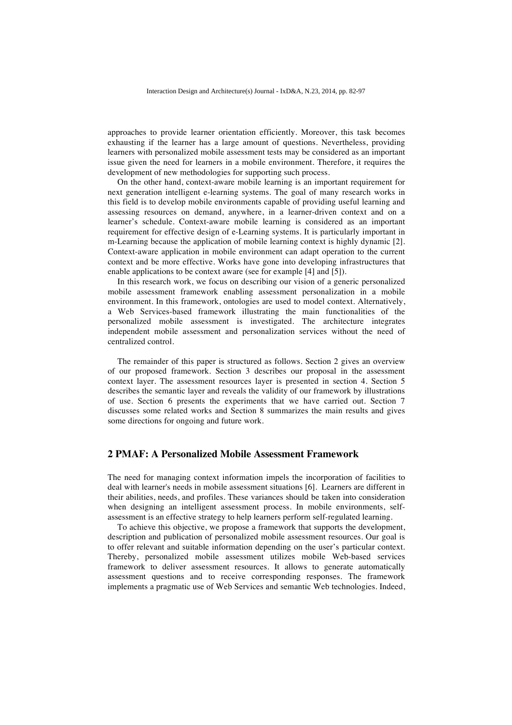approaches to provide learner orientation efficiently. Moreover, this task becomes exhausting if the learner has a large amount of questions. Nevertheless, providing learners with personalized mobile assessment tests may be considered as an important issue given the need for learners in a mobile environment. Therefore, it requires the development of new methodologies for supporting such process.

On the other hand, context-aware mobile learning is an important requirement for next generation intelligent e-learning systems. The goal of many research works in this field is to develop mobile environments capable of providing useful learning and assessing resources on demand, anywhere, in a learner-driven context and on a learner's schedule. Context-aware mobile learning is considered as an important requirement for effective design of e-Learning systems. It is particularly important in m-Learning because the application of mobile learning context is highly dynamic [2]. Context-aware application in mobile environment can adapt operation to the current context and be more effective. Works have gone into developing infrastructures that enable applications to be context aware (see for example [4] and [5]).

In this research work, we focus on describing our vision of a generic personalized mobile assessment framework enabling assessment personalization in a mobile environment. In this framework, ontologies are used to model context. Alternatively, a Web Services-based framework illustrating the main functionalities of the personalized mobile assessment is investigated. The architecture integrates independent mobile assessment and personalization services without the need of centralized control.

The remainder of this paper is structured as follows. Section 2 gives an overview of our proposed framework. Section 3 describes our proposal in the assessment context layer. The assessment resources layer is presented in section 4. Section 5 describes the semantic layer and reveals the validity of our framework by illustrations of use. Section 6 presents the experiments that we have carried out. Section 7 discusses some related works and Section 8 summarizes the main results and gives some directions for ongoing and future work.

# **2 PMAF: A Personalized Mobile Assessment Framework**

The need for managing context information impels the incorporation of facilities to deal with learner's needs in mobile assessment situations [6]. Learners are different in their abilities, needs, and profiles. These variances should be taken into consideration when designing an intelligent assessment process. In mobile environments, selfassessment is an effective strategy to help learners perform self-regulated learning.

To achieve this objective, we propose a framework that supports the development, description and publication of personalized mobile assessment resources. Our goal is to offer relevant and suitable information depending on the user's particular context. Thereby, personalized mobile assessment utilizes mobile Web-based services framework to deliver assessment resources. It allows to generate automatically assessment questions and to receive corresponding responses. The framework implements a pragmatic use of Web Services and semantic Web technologies. Indeed,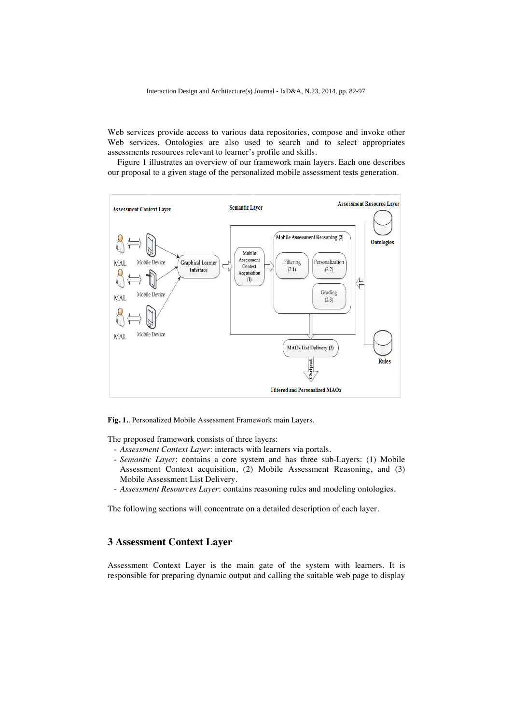Web services provide access to various data repositories, compose and invoke other Web services. Ontologies are also used to search and to select appropriates assessments resources relevant to learner's profile and skills.

Figure 1 illustrates an overview of our framework main layers. Each one describes our proposal to a given stage of the personalized mobile assessment tests generation.



**Fig. 1.**. Personalized Mobile Assessment Framework main Layers.

The proposed framework consists of three layers:

- *Assessment Context Layer*: interacts with learners via portals.
- *Semantic Layer*: contains a core system and has three sub-Layers: (1) Mobile Assessment Context acquisition, (2) Mobile Assessment Reasoning, and (3) Mobile Assessment List Delivery.
- *Assessment Resources Layer*: contains reasoning rules and modeling ontologies.

The following sections will concentrate on a detailed description of each layer.

# **3 Assessment Context Layer**

Assessment Context Layer is the main gate of the system with learners. It is responsible for preparing dynamic output and calling the suitable web page to display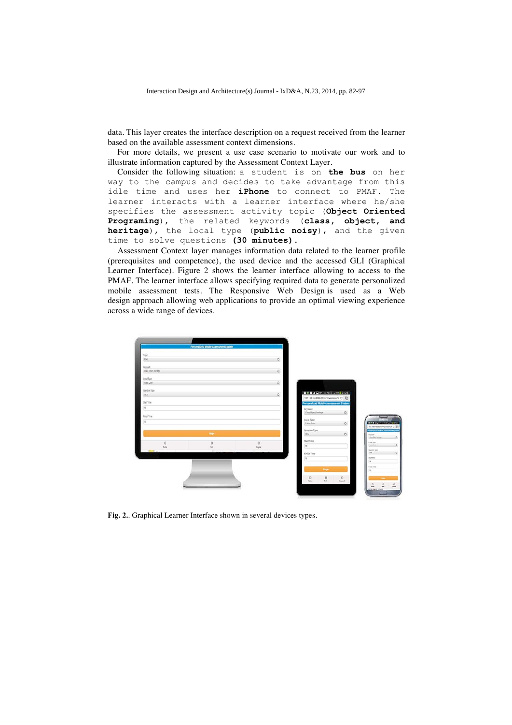data. This layer creates the interface description on a request received from the learner based on the available assessment context dimensions.

For more details, we present a use case scenario to motivate our work and to illustrate information captured by the Assessment Context Layer.

Consider the following situation: a student is on **the bus** on her way to the campus and decides to take advantage from this idle time and uses her **iPhone** to connect to PMAF. The learner interacts with a learner interface where he/she specifies the assessment activity topic (**Object Oriented Programing**), the related keywords (**class, object, and heritage**), the local type (**public noisy**), and the given time to solve questions **(30 minutes)**.

Assessment Context layer manages information data related to the learner profile (prerequisites and competence), the used device and the accessed GLI (Graphical Learner Interface). Figure 2 shows the learner interface allowing to access to the PMAF. The learner interface allows specifying required data to generate personalized mobile assessment tests. The Responsive Web Design is used as a Web design approach allowing web applications to provide an optimal viewing experience across a wide range of devices.



**Fig. 2.**. Graphical Learner Interface shown in several devices types.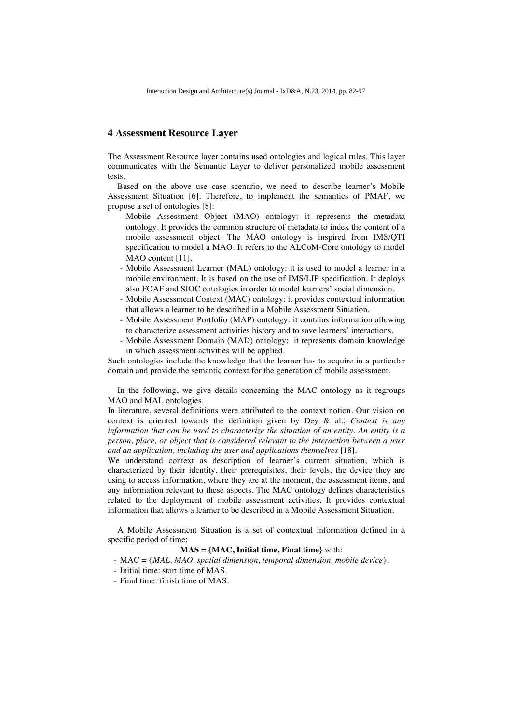### **4 Assessment Resource Layer**

The Assessment Resource layer contains used ontologies and logical rules. This layer communicates with the Semantic Layer to deliver personalized mobile assessment tests.

Based on the above use case scenario, we need to describe learner's Mobile Assessment Situation [6]. Therefore, to implement the semantics of PMAF, we propose a set of ontologies [8]:

- Mobile Assessment Object (MAO) ontology: it represents the metadata ontology. It provides the common structure of metadata to index the content of a mobile assessment object. The MAO ontology is inspired from IMS/QTI specification to model a MAO. It refers to the ALCoM-Core ontology to model MAO content [11].
- Mobile Assessment Learner (MAL) ontology: it is used to model a learner in a mobile environment. It is based on the use of IMS/LIP specification. It deploys also FOAF and SIOC ontologies in order to model learners' social dimension.
- Mobile Assessment Context (MAC) ontology: it provides contextual information that allows a learner to be described in a Mobile Assessment Situation.
- Mobile Assessment Portfolio (MAP) ontology: it contains information allowing to characterize assessment activities history and to save learners' interactions.
- Mobile Assessment Domain (MAD) ontology: it represents domain knowledge in which assessment activities will be applied.

Such ontologies include the knowledge that the learner has to acquire in a particular domain and provide the semantic context for the generation of mobile assessment.

In the following, we give details concerning the MAC ontology as it regroups MAO and MAL ontologies.

In literature, several definitions were attributed to the context notion. Our vision on context is oriented towards the definition given by Dey & al.: *Context is any information that can be used to characterize the situation of an entity. An entity is a person, place, or object that is considered relevant to the interaction between a user and an application, including the user and applications themselves* [18].

We understand context as description of learner's current situation, which is characterized by their identity, their prerequisites, their levels, the device they are using to access information, where they are at the moment, the assessment items, and any information relevant to these aspects. The MAC ontology defines characteristics related to the deployment of mobile assessment activities. It provides contextual information that allows a learner to be described in a Mobile Assessment Situation.

A Mobile Assessment Situation is a set of contextual information defined in a specific period of time:

#### **MAS = {MAC, Initial time, Final time}** with:

- MAC = {*MAL, MAO, spatial dimension, temporal dimension, mobile device*}.
- Initial time: start time of MAS.
- Final time: finish time of MAS.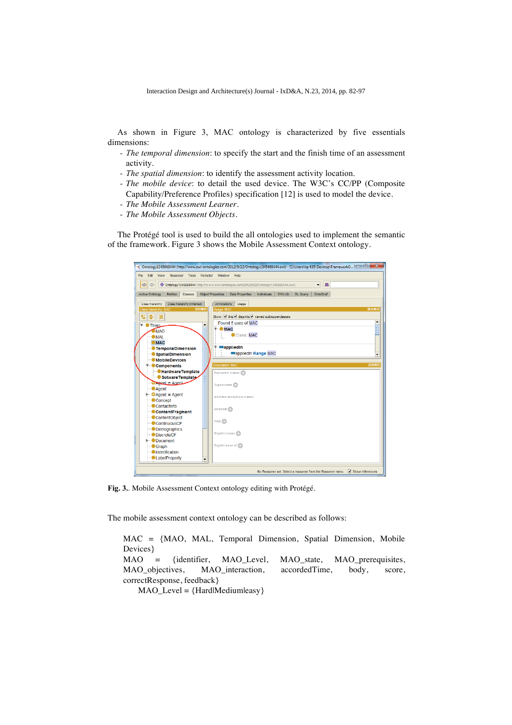As shown in Figure 3, MAC ontology is characterized by five essentials dimensions:

- *The temporal dimension*: to specify the start and the finish time of an assessment activity.
- *The spatial dimension*: to identify the assessment activity location.
- *The mobile device*: to detail the used device. The W3C's CC/PP (Composite Capability/Preference Profiles) specification [12] is used to model the device.
- *The Mobile Assessment Learner*.
- *The Mobile Assessment Objects*.

The Protégé tool is used to build the all ontologies used to implement the semantic of the framework. Figure 3 shows the Mobile Assessment Context ontology.

| $\mathbf{x}$<br>$\Box$<br>4 Ontology1345668444 (http://www.owl-ontologies.com/2012/8/22/Ontology1345668444.owl) - [C:\Users\hp 635\Desktop\FrameworkO   -<br><b>File</b><br>View<br>Reasoner Tools Refactor Window Help<br>Fdit |                                                                                                                      |  |  |
|---------------------------------------------------------------------------------------------------------------------------------------------------------------------------------------------------------------------------------|----------------------------------------------------------------------------------------------------------------------|--|--|
| $\bullet$<br>$\Leftrightarrow$<br>$\Rightarrow$                                                                                                                                                                                 | Ontology1345668444 (http://www.owl-ontologies.com/2012/8/22/Ontology1345668444.owl)<br>确<br>$\overline{\phantom{a}}$ |  |  |
| <b>Entities</b><br>Classes<br>Active Ontology                                                                                                                                                                                   | <b>Object Properties</b><br><b>Data Properties</b><br>OWLViz DL Query<br>Individuals<br>OntoGraf                     |  |  |
| Class hierarchy<br>Class hierarchy (inferred)                                                                                                                                                                                   | Annotations<br>Usage                                                                                                 |  |  |
| <b>DB08</b><br>Class hierarchy: MAC                                                                                                                                                                                             | Usage: MAC<br><b>MB08</b>                                                                                            |  |  |
| te-<br>⊠                                                                                                                                                                                                                        | Show: I this disjoints named sub/superclasses                                                                        |  |  |
| ▲<br>Thing                                                                                                                                                                                                                      | $\blacktriangle$<br>Found 5 uses of MAC                                                                              |  |  |
| MAO                                                                                                                                                                                                                             | $\overline{\mathbf{v}}$ <b>MAC</b>                                                                                   |  |  |
| OMAL                                                                                                                                                                                                                            | Class: MAC                                                                                                           |  |  |
| $\blacksquare$ MAC                                                                                                                                                                                                              |                                                                                                                      |  |  |
| <b>C</b> TemporalDimension                                                                                                                                                                                                      | <b>MappliedIn</b>                                                                                                    |  |  |
| <sup>■■</sup> SpatialDimension                                                                                                                                                                                                  | appliedin Range MAC<br>٠                                                                                             |  |  |
| - MobileDevices                                                                                                                                                                                                                 |                                                                                                                      |  |  |
| <b>▼ Components</b>                                                                                                                                                                                                             | <b>Description: MAC</b><br>$0 = 0$                                                                                   |  |  |
| <b>Hardware Template</b><br>Sotware Template                                                                                                                                                                                    | Equivalent classes                                                                                                   |  |  |
| <b>CAgent</b> = Agent                                                                                                                                                                                                           |                                                                                                                      |  |  |
| <b>Agent</b>                                                                                                                                                                                                                    | Superclasses (                                                                                                       |  |  |
| $\blacktriangleright$ <b>e</b> Agent = Agent                                                                                                                                                                                    | Inherited anonymous classes                                                                                          |  |  |
| - Concept                                                                                                                                                                                                                       |                                                                                                                      |  |  |
| - Contactinfo                                                                                                                                                                                                                   | Members <sub>2</sub>                                                                                                 |  |  |
| ContentFragment                                                                                                                                                                                                                 |                                                                                                                      |  |  |
| ContentObiect                                                                                                                                                                                                                   | Keys (                                                                                                               |  |  |
| - ContinuousCF<br><b>Demographics</b>                                                                                                                                                                                           |                                                                                                                      |  |  |
| DiscreteCF                                                                                                                                                                                                                      | Disjoint classes                                                                                                     |  |  |
| $\blacktriangleright$ Document                                                                                                                                                                                                  |                                                                                                                      |  |  |
| Graph                                                                                                                                                                                                                           | Disjoint union of                                                                                                    |  |  |
| - Identification                                                                                                                                                                                                                |                                                                                                                      |  |  |
| - LabelProperty<br>$\overline{\phantom{a}}$                                                                                                                                                                                     |                                                                                                                      |  |  |
|                                                                                                                                                                                                                                 |                                                                                                                      |  |  |
|                                                                                                                                                                                                                                 | $\blacktriangleright$ Show Inferences<br>No Reasoner set. Select a reasoner from the Reasoner menu                   |  |  |

**Fig. 3.**. Mobile Assessment Context ontology editing with Protégé.

The mobile assessment context ontology can be described as follows:

MAC = {MAO, MAL, Temporal Dimension, Spatial Dimension, Mobile Devices} MAO = {identifier, MAO\_Level, MAO\_state, MAO\_prerequisites, MAO\_objectives, MAO\_interaction, accordedTime, body, score, correctResponse, feedback} MAO\_Level = {Hard|Medium|easy}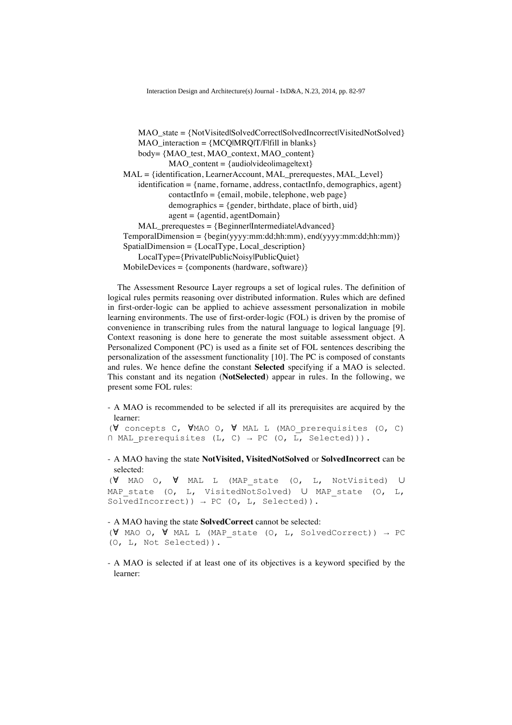$MAO<sub>state</sub> = {NotV<sub>is</sub>itedSolvedCorrectSolvedIncorrect|V<sub>is</sub>itedNotSolved}$  $MAO$  interaction =  ${MCO}$  $MRO$  $T/Flfill$  in blanks  $}$  $body = \{MAO$  test, MAO context, MAO content $\}$ MAO\_content =  ${audio|video|}$ image|text} MAL = {identification, LearnerAccount, MAL\_prerequestes, MAL\_Level}  $identification = \{name, formame, address, contactInfo, demographies, agent\}$  $contactInfo = {email, mobile, telephone, web page}$ demographics =  $\{gender, birthdate, place of birth, uid\}$  $agent = {agentid, agentDomain}$ MAL\_prerequestes = {Beginner|Intermediate|Advanced}  $Temporal Dimension = {begin(yyyy:mm:dd;hh:mm), end(yyyy:mm:dd;hh:mm)}$  $SpatialDimension = \{LocalType, Local description\}$ LocalType={Private|PublicNoisy|PublicQuiet}  $MobileDevices = {components (hardware, software)}$ 

The Assessment Resource Layer regroups a set of logical rules. The definition of logical rules permits reasoning over distributed information. Rules which are defined in first-order-logic can be applied to achieve assessment personalization in mobile learning environments. The use of first-order-logic (FOL) is driven by the promise of convenience in transcribing rules from the natural language to logical language [9]. Context reasoning is done here to generate the most suitable assessment object. A Personalized Component (PC) is used as a finite set of FOL sentences describing the personalization of the assessment functionality [10]. The PC is composed of constants and rules. We hence define the constant **Selected** specifying if a MAO is selected. This constant and its negation (**NotSelected**) appear in rules. In the following, we present some FOL rules:

- A MAO is recommended to be selected if all its prerequisites are acquired by the learner:

```
(∀ concepts C, ∀MAO O, ∀ MAL L (MAO_prerequisites (O, C) 
\cap MAL prerequisites (L, C) \rightarrow PC (O, L, Selected))).
```
- A MAO having the state **NotVisited, VisitedNotSolved** or **SolvedIncorrect** can be selected:

(∀ MAO O, ∀ MAL L (MAP\_state (O, L, NotVisited) ∪ MAP state (O, L, VisitedNotSolved) ∪ MAP state (O, L, SolvedIncorrect))  $\rightarrow$  PC (O, L, Selected)).

#### - A MAO having the state **SolvedCorrect** cannot be selected:

( $\forall$  MAO O,  $\forall$  MAL L (MAP state (O, L, SolvedCorrect))  $\rightarrow$  PC (O, L, Not Selected)).

- A MAO is selected if at least one of its objectives is a keyword specified by the learner: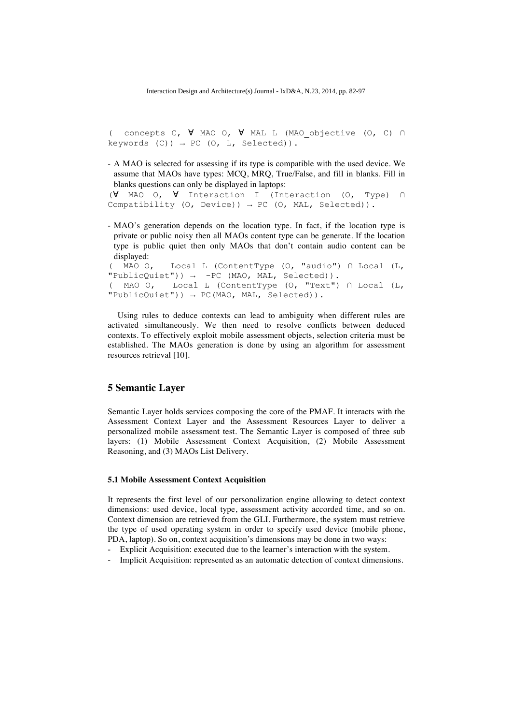( concepts C, ∀ MAO O, ∀ MAL L (MAO\_objective (O, C) ∩ keywords  $(C)$ )  $\rightarrow$  PC  $(O, L,$  Selected)).

- A MAO is selected for assessing if its type is compatible with the used device. We assume that MAOs have types: MCQ, MRQ, True/False, and fill in blanks. Fill in blanks questions can only be displayed in laptops:

(∀ MAO O, ∀ Interaction I (Interaction (O, Type) ∩ Compatibility (O, Device))  $\rightarrow$  PC (O, MAL, Selected)).

- MAO's generation depends on the location type. In fact, if the location type is private or public noisy then all MAOs content type can be generate. If the location type is public quiet then only MAOs that don't contain audio content can be displayed:<br> $(MAO O)$ 

```
Local L (ContentType (O, "audio") ∩ Local (L,
"PublicQuick") + -PC (MAO, MAL, Selected)).
( MAO O,  Local L (ContentType (O, "Text") ∩ Local (L, 
"PublicQuick")) \rightarrow PC(MAO, MAL, Selected).
```
Using rules to deduce contexts can lead to ambiguity when different rules are activated simultaneously. We then need to resolve conflicts between deduced contexts. To effectively exploit mobile assessment objects, selection criteria must be established. The MAOs generation is done by using an algorithm for assessment resources retrieval [10].

# **5 Semantic Layer**

Semantic Layer holds services composing the core of the PMAF. It interacts with the Assessment Context Layer and the Assessment Resources Layer to deliver a personalized mobile assessment test. The Semantic Layer is composed of three sub layers: (1) Mobile Assessment Context Acquisition, (2) Mobile Assessment Reasoning, and (3) MAOs List Delivery.

#### **5.1 Mobile Assessment Context Acquisition**

It represents the first level of our personalization engine allowing to detect context dimensions: used device, local type, assessment activity accorded time, and so on. Context dimension are retrieved from the GLI. Furthermore, the system must retrieve the type of used operating system in order to specify used device (mobile phone, PDA, laptop). So on, context acquisition's dimensions may be done in two ways:

- Explicit Acquisition: executed due to the learner's interaction with the system.
- Implicit Acquisition: represented as an automatic detection of context dimensions.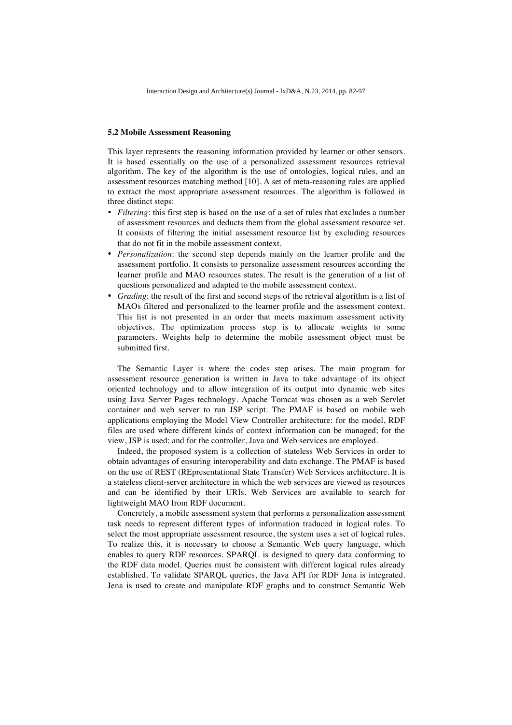#### **5.2 Mobile Assessment Reasoning**

This layer represents the reasoning information provided by learner or other sensors. It is based essentially on the use of a personalized assessment resources retrieval algorithm. The key of the algorithm is the use of ontologies, logical rules, and an assessment resources matching method [10]. A set of meta-reasoning rules are applied to extract the most appropriate assessment resources. The algorithm is followed in three distinct steps:

- *Filtering*: this first step is based on the use of a set of rules that excludes a number of assessment resources and deducts them from the global assessment resource set. It consists of filtering the initial assessment resource list by excluding resources that do not fit in the mobile assessment context.
- *Personalization*: the second step depends mainly on the learner profile and the assessment portfolio. It consists to personalize assessment resources according the learner profile and MAO resources states. The result is the generation of a list of questions personalized and adapted to the mobile assessment context.
- *Grading*: the result of the first and second steps of the retrieval algorithm is a list of MAOs filtered and personalized to the learner profile and the assessment context. This list is not presented in an order that meets maximum assessment activity objectives. The optimization process step is to allocate weights to some parameters. Weights help to determine the mobile assessment object must be submitted first.

The Semantic Layer is where the codes step arises. The main program for assessment resource generation is written in Java to take advantage of its object oriented technology and to allow integration of its output into dynamic web sites using Java Server Pages technology. Apache Tomcat was chosen as a web Servlet container and web server to run JSP script. The PMAF is based on mobile web applications employing the Model View Controller architecture: for the model, RDF files are used where different kinds of context information can be managed; for the view, JSP is used; and for the controller, Java and Web services are employed.

Indeed, the proposed system is a collection of stateless Web Services in order to obtain advantages of ensuring interoperability and data exchange. The PMAF is based on the use of REST (REpresentational State Transfer) Web Services architecture. It is a stateless client-server architecture in which the web services are viewed as resources and can be identified by their URIs. Web Services are available to search for lightweight MAO from RDF document.

Concretely, a mobile assessment system that performs a personalization assessment task needs to represent different types of information traduced in logical rules. To select the most appropriate assessment resource, the system uses a set of logical rules. To realize this, it is necessary to choose a Semantic Web query language, which enables to query RDF resources. SPARQL is designed to query data conforming to the RDF data model. Queries must be consistent with different logical rules already established. To validate SPARQL queries, the Java API for RDF Jena is integrated. Jena is used to create and manipulate RDF graphs and to construct Semantic Web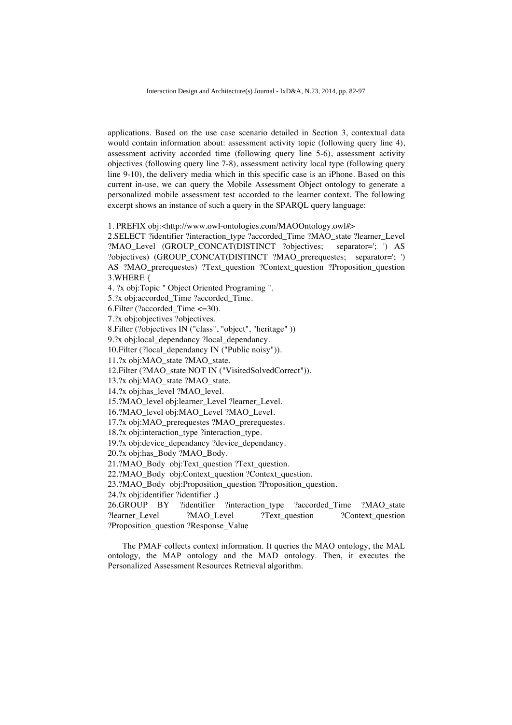applications. Based on the use case scenario detailed in Section 3, contextual data would contain information about: assessment activity topic (following query line 4), assessment activity accorded time (following query line 5-6), assessment activity objectives (following query line 7-8), assessment activity local type (following query line 9-10), the delivery media which in this specific case is an iPhone. Based on this current in-use, we can query the Mobile Assessment Object ontology to generate a personalized mobile assessment test accorded to the learner context. The following excerpt shows an instance of such a query in the SPARQL query language:

1. PREFIX obj:<http://www.owl-ontologies.com/MAOOntology.owl#>

2.SELECT ?identifier ?interaction\_type ?accorded\_Time ?MAO\_state ?learner\_Level ?MAO\_Level (GROUP\_CONCAT(DISTINCT ?objectives; separator='; ') AS ?objectives) (GROUP\_CONCAT(DISTINCT ?MAO\_prerequestes; separator='; ') AS ?MAO\_prerequestes) ?Text\_question ?Context\_question ?Proposition\_question 3.WHERE {

4. ?x obj:Topic " Object Oriented Programing ".

5.?x obj:accorded\_Time ?accorded\_Time.

6.Filter (?accorded\_Time <=30).

7.?x obj:objectives ?objectives.

8.Filter (?objectives IN ("class", "object", "heritage" ))

9.?x obj:local dependancy ?local dependancy.

10.Filter (?local\_dependancy IN ("Public noisy")).

11.?x obj:MAO\_state ?MAO\_state.

12.Filter (?MAO\_state NOT IN ("VisitedSolvedCorrect")).

13.?x obj:MAO\_state ?MAO\_state.

14.?x obj:has\_level ?MAO\_level.

15.?MAO\_level obj:learner\_Level ?learner\_Level.

16.?MAO\_level obj:MAO\_Level ?MAO\_Level.

17.?x obj:MAO\_prerequestes ?MAO\_prerequestes.

18.?x obj:interaction\_type ?interaction\_type.

19.?x obj:device\_dependancy ?device\_dependancy.

20.?x obj:has\_Body ?MAO\_Body.

21.?MAO\_Body obj:Text\_question ?Text\_question.

22.?MAO\_Body obj:Context\_question ?Context\_question.

23.?MAO\_Body obj:Proposition question ?Proposition question.

24.?x obj:identifier ?identifier .}

26.GROUP BY ?identifier ?interaction\_type ?accorded\_Time ?MAO\_state ?learner\_Level ?MAO\_Level ?Text\_question ?Context question ?Proposition\_question ?Response\_Value

The PMAF collects context information. It queries the MAO ontology, the MAL ontology, the MAP ontology and the MAD ontology. Then, it executes the Personalized Assessment Resources Retrieval algorithm.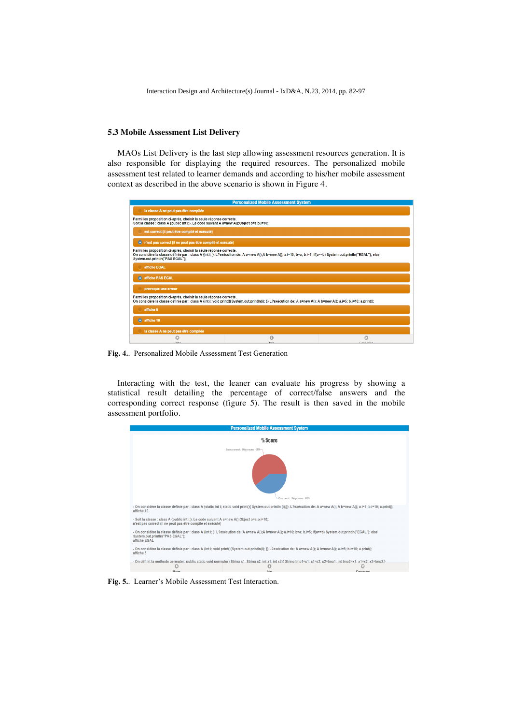#### **5.3 Mobile Assessment List Delivery**

MAOs List Delivery is the last step allowing assessment resources generation. It is also responsible for displaying the required resources. The personalized mobile assessment test related to learner demands and according to his/her mobile assessment context as described in the above scenario is shown in Figure 4.

| <b>Personalized Mobile Assessment System</b>                                                                                                                                                                                                                            |   |   |  |  |
|-------------------------------------------------------------------------------------------------------------------------------------------------------------------------------------------------------------------------------------------------------------------------|---|---|--|--|
| la classe A ne peut pas être compilée                                                                                                                                                                                                                                   |   |   |  |  |
| Parmi les proposition ci-aprés, choisir la seule réponse correcte.<br>Soit la classe : class A (public int i;). Le code suivant A a=new A();Object o=a;o.i=10;:                                                                                                         |   |   |  |  |
| est correct (il peut être compilé et exécuté)                                                                                                                                                                                                                           |   |   |  |  |
| · n'est pas correct (il ne peut pas être compilé et exécuté)                                                                                                                                                                                                            |   |   |  |  |
| Parmi les proposition ci-aprés, choisir la seule réponse correcte.<br>On considère la classe définie par : class A {int i; }. L?exécution de: A a=new A();A b=new A(); a.i=10; b=a; b.i=5; if(a==b) System.out.println("EGAL"); else<br>System.out.println("PAS EGAL"); |   |   |  |  |
| affiche EGAL                                                                                                                                                                                                                                                            |   |   |  |  |
| affiche PAS EGAL<br>Ю                                                                                                                                                                                                                                                   |   |   |  |  |
| provoque une erreur                                                                                                                                                                                                                                                     |   |   |  |  |
| Parmi les proposition ci-aprés, choisir la seule réponse correcte.<br>On considère la classe définie par : class A {int i; void print(){System.out.println(i); }} L?exécution de: A a=new A(); A b=new A(); a.i=5; b.i=10; a.print();                                   |   |   |  |  |
| affiche 5                                                                                                                                                                                                                                                               |   |   |  |  |
| $\bullet$ affiche 10                                                                                                                                                                                                                                                    |   |   |  |  |
| la classe A ne peut pas être compilée                                                                                                                                                                                                                                   |   |   |  |  |
| O                                                                                                                                                                                                                                                                       | 0 | Ø |  |  |

**Fig. 4.**. Personalized Mobile Assessment Test Generation

Interacting with the test, the leaner can evaluate his progress by showing a statistical result detailing the percentage of correct/false answers and the corresponding correct response (figure 5). The result is then saved in the mobile assessment portfolio.



**Fig. 5.**. Learner's Mobile Assessment Test Interaction.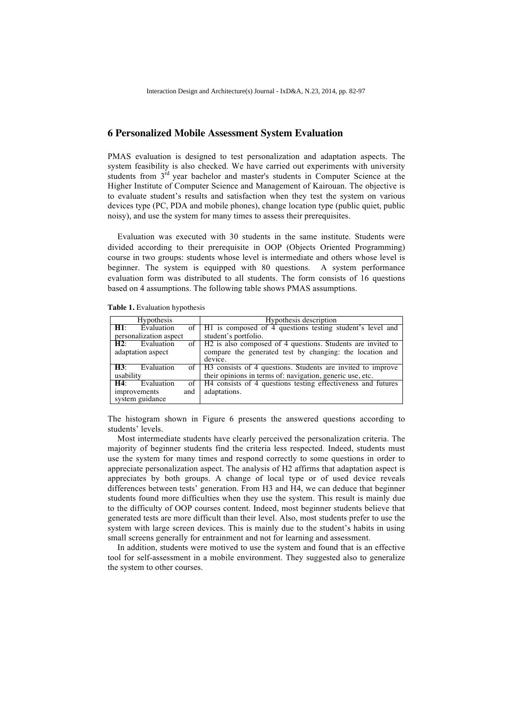# **6 Personalized Mobile Assessment System Evaluation**

PMAS evaluation is designed to test personalization and adaptation aspects. The system feasibility is also checked. We have carried out experiments with university students from 3<sup>rd</sup> year bachelor and master's students in Computer Science at the Higher Institute of Computer Science and Management of Kairouan. The objective is to evaluate student's results and satisfaction when they test the system on various devices type (PC, PDA and mobile phones), change location type (public quiet, public noisy), and use the system for many times to assess their prerequisites.

Evaluation was executed with 30 students in the same institute. Students were divided according to their prerequisite in OOP (Objects Oriented Programming) course in two groups: students whose level is intermediate and others whose level is beginner. The system is equipped with 80 questions. A system performance evaluation form was distributed to all students. The form consists of 16 questions based on 4 assumptions. The following table shows PMAS assumptions.

| <b>Hypothesis</b>           | Hypothesis description                                            |  |
|-----------------------------|-------------------------------------------------------------------|--|
| Evaluation<br>H1:           | of   H1 is composed of 4 questions testing student's level and    |  |
| personalization aspect      | student's portfolio.                                              |  |
| H <sub>2</sub> : Evaluation | of   H2 is also composed of 4 questions. Students are invited to  |  |
| adaptation aspect           | compare the generated test by changing: the location and          |  |
|                             | device.                                                           |  |
| Evaluation<br>H3:           | of   H3 consists of 4 questions. Students are invited to improve  |  |
| usability                   | their opinions in terms of: navigation, generic use, etc.         |  |
| Evaluation<br>H4:           | of   H4 consists of 4 questions testing effectiveness and futures |  |
| improvements<br>and         | adaptations.                                                      |  |
| system guidance             |                                                                   |  |

**Table 1.** Evaluation hypothesis

The histogram shown in Figure 6 presents the answered questions according to students' levels.

Most intermediate students have clearly perceived the personalization criteria. The majority of beginner students find the criteria less respected. Indeed, students must use the system for many times and respond correctly to some questions in order to appreciate personalization aspect. The analysis of H2 affirms that adaptation aspect is appreciates by both groups. A change of local type or of used device reveals differences between tests' generation. From H3 and H4, we can deduce that beginner students found more difficulties when they use the system. This result is mainly due to the difficulty of OOP courses content. Indeed, most beginner students believe that generated tests are more difficult than their level. Also, most students prefer to use the system with large screen devices. This is mainly due to the student's habits in using small screens generally for entrainment and not for learning and assessment.

In addition, students were motived to use the system and found that is an effective tool for self-assessment in a mobile environment. They suggested also to generalize the system to other courses.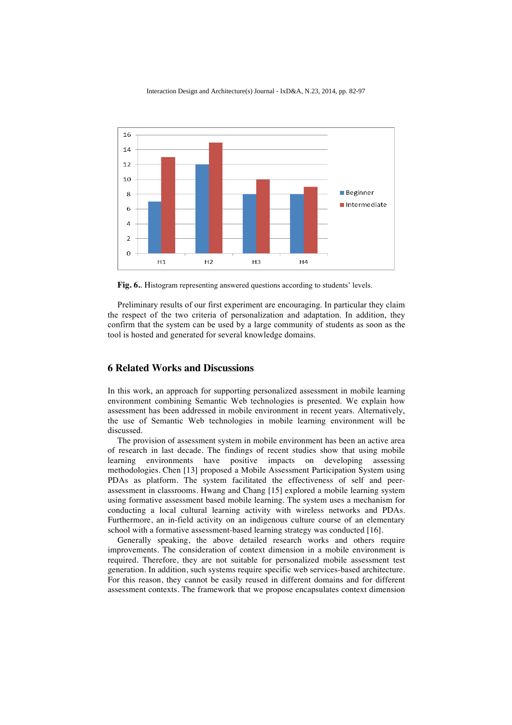

**Fig. 6.**. Histogram representing answered questions according to students' levels.

Preliminary results of our first experiment are encouraging. In particular they claim the respect of the two criteria of personalization and adaptation. In addition, they confirm that the system can be used by a large community of students as soon as the tool is hosted and generated for several knowledge domains.

### **6 Related Works and Discussions**

In this work, an approach for supporting personalized assessment in mobile learning environment combining Semantic Web technologies is presented. We explain how assessment has been addressed in mobile environment in recent years. Alternatively, the use of Semantic Web technologies in mobile learning environment will be discussed.

The provision of assessment system in mobile environment has been an active area of research in last decade. The findings of recent studies show that using mobile learning environments have positive impacts on developing assessing methodologies. Chen [13] proposed a Mobile Assessment Participation System using PDAs as platform. The system facilitated the effectiveness of self and peerassessment in classrooms. Hwang and Chang [15] explored a mobile learning system using formative assessment based mobile learning. The system uses a mechanism for conducting a local cultural learning activity with wireless networks and PDAs. Furthermore, an in-field activity on an indigenous culture course of an elementary school with a formative assessment-based learning strategy was conducted [16].

Generally speaking, the above detailed research works and others require improvements. The consideration of context dimension in a mobile environment is required. Therefore, they are not suitable for personalized mobile assessment test generation. In addition, such systems require specific web services-based architecture. For this reason, they cannot be easily reused in different domains and for different assessment contexts. The framework that we propose encapsulates context dimension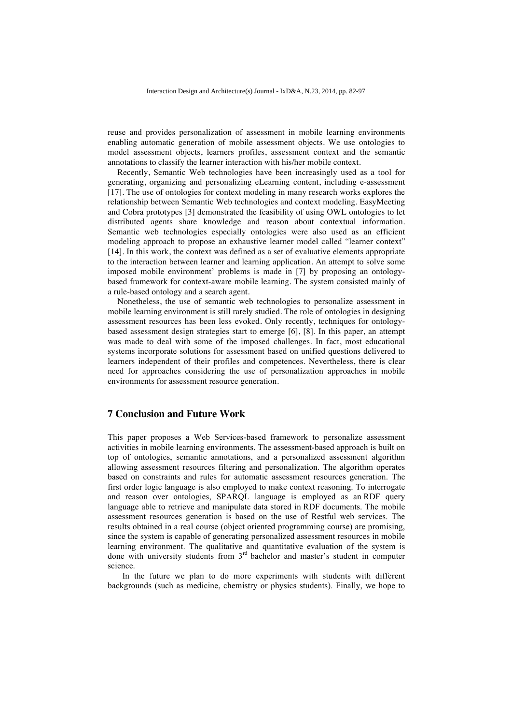reuse and provides personalization of assessment in mobile learning environments enabling automatic generation of mobile assessment objects. We use ontologies to model assessment objects, learners profiles, assessment context and the semantic annotations to classify the learner interaction with his/her mobile context.

Recently, Semantic Web technologies have been increasingly used as a tool for generating, organizing and personalizing eLearning content, including e-assessment [17]. The use of ontologies for context modeling in many research works explores the relationship between Semantic Web technologies and context modeling. EasyMeeting and Cobra prototypes [3] demonstrated the feasibility of using OWL ontologies to let distributed agents share knowledge and reason about contextual information. Semantic web technologies especially ontologies were also used as an efficient modeling approach to propose an exhaustive learner model called "learner context" [14]. In this work, the context was defined as a set of evaluative elements appropriate to the interaction between learner and learning application. An attempt to solve some imposed mobile environment' problems is made in [7] by proposing an ontologybased framework for context-aware mobile learning. The system consisted mainly of a rule-based ontology and a search agent.

Nonetheless, the use of semantic web technologies to personalize assessment in mobile learning environment is still rarely studied. The role of ontologies in designing assessment resources has been less evoked. Only recently, techniques for ontologybased assessment design strategies start to emerge [6], [8]. In this paper, an attempt was made to deal with some of the imposed challenges. In fact, most educational systems incorporate solutions for assessment based on unified questions delivered to learners independent of their profiles and competences. Nevertheless, there is clear need for approaches considering the use of personalization approaches in mobile environments for assessment resource generation.

# **7 Conclusion and Future Work**

This paper proposes a Web Services-based framework to personalize assessment activities in mobile learning environments. The assessment-based approach is built on top of ontologies, semantic annotations, and a personalized assessment algorithm allowing assessment resources filtering and personalization. The algorithm operates based on constraints and rules for automatic assessment resources generation. The first order logic language is also employed to make context reasoning. To interrogate and reason over ontologies, SPARQL language is employed as an RDF query language able to retrieve and manipulate data stored in RDF documents. The mobile assessment resources generation is based on the use of Restful web services. The results obtained in a real course (object oriented programming course) are promising, since the system is capable of generating personalized assessment resources in mobile learning environment. The qualitative and quantitative evaluation of the system is done with university students from  $3<sup>rd</sup>$  bachelor and master's student in computer science.

In the future we plan to do more experiments with students with different backgrounds (such as medicine, chemistry or physics students). Finally, we hope to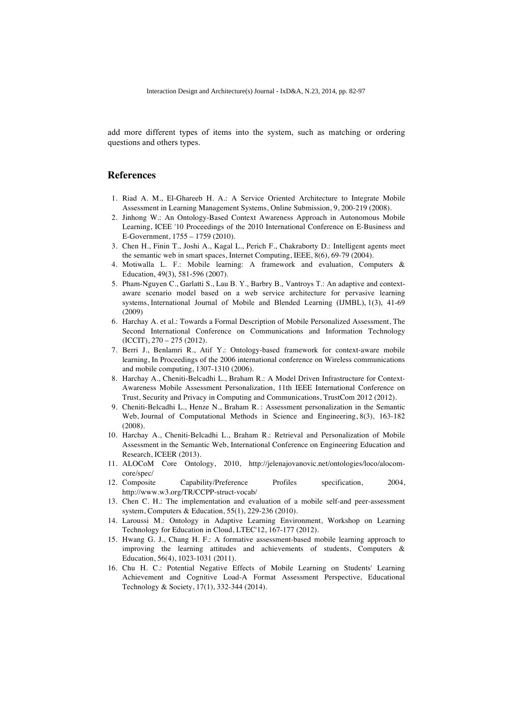add more different types of items into the system, such as matching or ordering questions and others types.

# **References**

- 1. Riad A. M., El-Ghareeb H. A.: A Service Oriented Architecture to Integrate Mobile Assessment in Learning Management Systems, Online Submission, 9, 200-219 (2008).
- 2. Jinhong W.: An Ontology-Based Context Awareness Approach in Autonomous Mobile Learning, ICEE '10 Proceedings of the 2010 International Conference on E-Business and E-Government, 1755 – 1759 (2010).
- 3. Chen H., Finin T., Joshi A., Kagal L., Perich F., Chakraborty D.: Intelligent agents meet the semantic web in smart spaces, Internet Computing, IEEE, 8(6), 69-79 (2004).
- 4. Motiwalla L. F.: Mobile learning: A framework and evaluation, Computers & Education, 49(3), 581-596 (2007).
- 5. Pham-Nguyen C., Garlatti S., Lau B. Y., Barbry B., Vantroys T.: An adaptive and contextaware scenario model based on a web service architecture for pervasive learning systems, International Journal of Mobile and Blended Learning (IJMBL), 1(3), 41-69 (2009)
- 6. Harchay A. et al.: Towards a Formal Description of Mobile Personalized Assessment, The Second International Conference on Communications and Information Technology (ICCIT), 270 – 275 (2012).
- 7. Berri J., Benlamri R., Atif Y.: Ontology-based framework for context-aware mobile learning, In Proceedings of the 2006 international conference on Wireless communications and mobile computing, 1307-1310 (2006).
- 8. Harchay A., Cheniti-Belcadhi L., Braham R.: A Model Driven Infrastructure for Context-Awareness Mobile Assessment Personalization, 11th IEEE International Conference on Trust, Security and Privacy in Computing and Communications, TrustCom 2012 (2012).
- 9. Cheniti-Belcadhi L., Henze N., Braham R. : Assessment personalization in the Semantic Web, Journal of Computational Methods in Science and Engineering, 8(3), 163-182 (2008).
- 10. Harchay A., Cheniti-Belcadhi L., Braham R.: Retrieval and Personalization of Mobile Assessment in the Semantic Web, International Conference on Engineering Education and Research, ICEER (2013).
- 11. ALOCoM Core Ontology, 2010, http://jelenajovanovic.net/ontologies/loco/alocomcore/spec/
- 12. Composite Capability/Preference Profiles specification, 2004, http://www.w3.org/TR/CCPP-struct-vocab/
- 13. Chen C. H.: The implementation and evaluation of a mobile self-and peer-assessment system, Computers & Education, 55(1), 229-236 (2010).
- 14. Laroussi M.: Ontology in Adaptive Learning Environment, Workshop on Learning Technology for Education in Cloud, LTEC'12, 167-177 (2012).
- 15. Hwang G. J., Chang H. F.: A formative assessment-based mobile learning approach to improving the learning attitudes and achievements of students, Computers & Education, 56(4), 1023-1031 (2011).
- 16. Chu H. C.: Potential Negative Effects of Mobile Learning on Students' Learning Achievement and Cognitive Load-A Format Assessment Perspective, Educational Technology & Society, 17(1), 332-344 (2014).